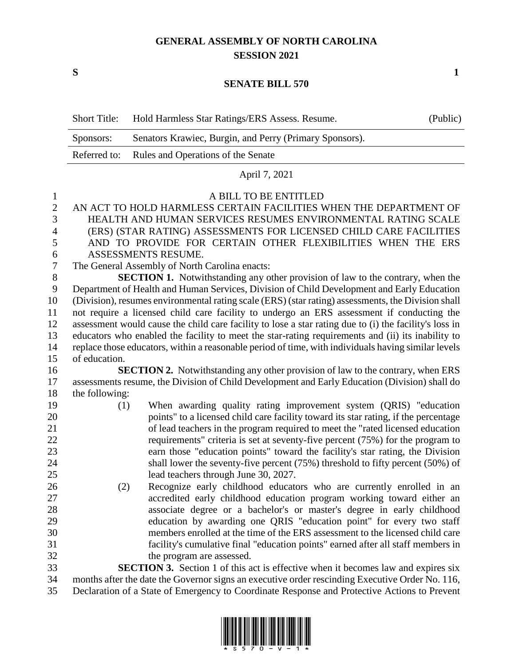## **GENERAL ASSEMBLY OF NORTH CAROLINA SESSION 2021**

**S 1**

## **SENATE BILL 570**

| Senators Krawiec, Burgin, and Perry (Primary Sponsors).<br>Sponsors:<br>Referred to:<br>Rules and Operations of the Senate<br>April 7, 2021<br>A BILL TO BE ENTITLED<br>$\mathbf{1}$<br>$\overline{2}$<br>AN ACT TO HOLD HARMLESS CERTAIN FACILITIES WHEN THE DEPARTMENT OF<br>3<br>HEALTH AND HUMAN SERVICES RESUMES ENVIRONMENTAL RATING SCALE<br>(ERS) (STAR RATING) ASSESSMENTS FOR LICENSED CHILD CARE FACILITIES<br>$\overline{4}$<br>AND TO PROVIDE FOR CERTAIN OTHER FLEXIBILITIES WHEN THE ERS<br>5<br>ASSESSMENTS RESUME.<br>6<br>$\boldsymbol{7}$<br>The General Assembly of North Carolina enacts:<br>$8\,$<br><b>SECTION 1.</b> Notwithstanding any other provision of law to the contrary, when the<br>Department of Health and Human Services, Division of Child Development and Early Education<br>9<br>(Division), resumes environmental rating scale (ERS) (star rating) assessments, the Division shall<br>10<br>not require a licensed child care facility to undergo an ERS assessment if conducting the<br>11<br>assessment would cause the child care facility to lose a star rating due to (i) the facility's loss in<br>12<br>13<br>educators who enabled the facility to meet the star-rating requirements and (ii) its inability to<br>14<br>replace those educators, within a reasonable period of time, with individuals having similar levels<br>15<br>of education.<br>16<br><b>SECTION 2.</b> Notwithstanding any other provision of law to the contrary, when ERS<br>17<br>assessments resume, the Division of Child Development and Early Education (Division) shall do<br>18<br>the following:<br>19<br>When awarding quality rating improvement system (QRIS) "education<br>(1)<br>20<br>points" to a licensed child care facility toward its star rating, if the percentage<br>21<br>of lead teachers in the program required to meet the "rated licensed education<br>22<br>requirements" criteria is set at seventy-five percent (75%) for the program to<br>23<br>earn those "education points" toward the facility's star rating, the Division<br>24<br>shall lower the seventy-five percent (75%) threshold to fifty percent (50%) of<br>25<br>lead teachers through June 30, 2027.<br>26<br>Recognize early childhood educators who are currently enrolled in an<br>(2)<br>27<br>accredited early childhood education program working toward either an<br>28<br>associate degree or a bachelor's or master's degree in early childhood<br>29<br>education by awarding one QRIS "education point" for every two staff<br>30<br>members enrolled at the time of the ERS assessment to the licensed child care<br>31<br>facility's cumulative final "education points" earned after all staff members in<br>32<br>the program are assessed.<br>33<br><b>SECTION 3.</b> Section 1 of this act is effective when it becomes law and expires six |    | <b>Short Title:</b>                                                                             | Hold Harmless Star Ratings/ERS Assess. Resume. | (Public) |  |
|---------------------------------------------------------------------------------------------------------------------------------------------------------------------------------------------------------------------------------------------------------------------------------------------------------------------------------------------------------------------------------------------------------------------------------------------------------------------------------------------------------------------------------------------------------------------------------------------------------------------------------------------------------------------------------------------------------------------------------------------------------------------------------------------------------------------------------------------------------------------------------------------------------------------------------------------------------------------------------------------------------------------------------------------------------------------------------------------------------------------------------------------------------------------------------------------------------------------------------------------------------------------------------------------------------------------------------------------------------------------------------------------------------------------------------------------------------------------------------------------------------------------------------------------------------------------------------------------------------------------------------------------------------------------------------------------------------------------------------------------------------------------------------------------------------------------------------------------------------------------------------------------------------------------------------------------------------------------------------------------------------------------------------------------------------------------------------------------------------------------------------------------------------------------------------------------------------------------------------------------------------------------------------------------------------------------------------------------------------------------------------------------------------------------------------------------------------------------------------------------------------------------------------------------------------------------------------------------------------------------------------------------------------------------------------------------------------------------------------------------------------------------------------------------------------------------------------------------------------------------------------------|----|-------------------------------------------------------------------------------------------------|------------------------------------------------|----------|--|
|                                                                                                                                                                                                                                                                                                                                                                                                                                                                                                                                                                                                                                                                                                                                                                                                                                                                                                                                                                                                                                                                                                                                                                                                                                                                                                                                                                                                                                                                                                                                                                                                                                                                                                                                                                                                                                                                                                                                                                                                                                                                                                                                                                                                                                                                                                                                                                                                                                                                                                                                                                                                                                                                                                                                                                                                                                                                                       |    |                                                                                                 |                                                |          |  |
|                                                                                                                                                                                                                                                                                                                                                                                                                                                                                                                                                                                                                                                                                                                                                                                                                                                                                                                                                                                                                                                                                                                                                                                                                                                                                                                                                                                                                                                                                                                                                                                                                                                                                                                                                                                                                                                                                                                                                                                                                                                                                                                                                                                                                                                                                                                                                                                                                                                                                                                                                                                                                                                                                                                                                                                                                                                                                       |    |                                                                                                 |                                                |          |  |
|                                                                                                                                                                                                                                                                                                                                                                                                                                                                                                                                                                                                                                                                                                                                                                                                                                                                                                                                                                                                                                                                                                                                                                                                                                                                                                                                                                                                                                                                                                                                                                                                                                                                                                                                                                                                                                                                                                                                                                                                                                                                                                                                                                                                                                                                                                                                                                                                                                                                                                                                                                                                                                                                                                                                                                                                                                                                                       |    |                                                                                                 |                                                |          |  |
|                                                                                                                                                                                                                                                                                                                                                                                                                                                                                                                                                                                                                                                                                                                                                                                                                                                                                                                                                                                                                                                                                                                                                                                                                                                                                                                                                                                                                                                                                                                                                                                                                                                                                                                                                                                                                                                                                                                                                                                                                                                                                                                                                                                                                                                                                                                                                                                                                                                                                                                                                                                                                                                                                                                                                                                                                                                                                       |    |                                                                                                 |                                                |          |  |
|                                                                                                                                                                                                                                                                                                                                                                                                                                                                                                                                                                                                                                                                                                                                                                                                                                                                                                                                                                                                                                                                                                                                                                                                                                                                                                                                                                                                                                                                                                                                                                                                                                                                                                                                                                                                                                                                                                                                                                                                                                                                                                                                                                                                                                                                                                                                                                                                                                                                                                                                                                                                                                                                                                                                                                                                                                                                                       |    |                                                                                                 |                                                |          |  |
|                                                                                                                                                                                                                                                                                                                                                                                                                                                                                                                                                                                                                                                                                                                                                                                                                                                                                                                                                                                                                                                                                                                                                                                                                                                                                                                                                                                                                                                                                                                                                                                                                                                                                                                                                                                                                                                                                                                                                                                                                                                                                                                                                                                                                                                                                                                                                                                                                                                                                                                                                                                                                                                                                                                                                                                                                                                                                       |    |                                                                                                 |                                                |          |  |
|                                                                                                                                                                                                                                                                                                                                                                                                                                                                                                                                                                                                                                                                                                                                                                                                                                                                                                                                                                                                                                                                                                                                                                                                                                                                                                                                                                                                                                                                                                                                                                                                                                                                                                                                                                                                                                                                                                                                                                                                                                                                                                                                                                                                                                                                                                                                                                                                                                                                                                                                                                                                                                                                                                                                                                                                                                                                                       |    |                                                                                                 |                                                |          |  |
|                                                                                                                                                                                                                                                                                                                                                                                                                                                                                                                                                                                                                                                                                                                                                                                                                                                                                                                                                                                                                                                                                                                                                                                                                                                                                                                                                                                                                                                                                                                                                                                                                                                                                                                                                                                                                                                                                                                                                                                                                                                                                                                                                                                                                                                                                                                                                                                                                                                                                                                                                                                                                                                                                                                                                                                                                                                                                       |    |                                                                                                 |                                                |          |  |
|                                                                                                                                                                                                                                                                                                                                                                                                                                                                                                                                                                                                                                                                                                                                                                                                                                                                                                                                                                                                                                                                                                                                                                                                                                                                                                                                                                                                                                                                                                                                                                                                                                                                                                                                                                                                                                                                                                                                                                                                                                                                                                                                                                                                                                                                                                                                                                                                                                                                                                                                                                                                                                                                                                                                                                                                                                                                                       |    |                                                                                                 |                                                |          |  |
|                                                                                                                                                                                                                                                                                                                                                                                                                                                                                                                                                                                                                                                                                                                                                                                                                                                                                                                                                                                                                                                                                                                                                                                                                                                                                                                                                                                                                                                                                                                                                                                                                                                                                                                                                                                                                                                                                                                                                                                                                                                                                                                                                                                                                                                                                                                                                                                                                                                                                                                                                                                                                                                                                                                                                                                                                                                                                       |    |                                                                                                 |                                                |          |  |
|                                                                                                                                                                                                                                                                                                                                                                                                                                                                                                                                                                                                                                                                                                                                                                                                                                                                                                                                                                                                                                                                                                                                                                                                                                                                                                                                                                                                                                                                                                                                                                                                                                                                                                                                                                                                                                                                                                                                                                                                                                                                                                                                                                                                                                                                                                                                                                                                                                                                                                                                                                                                                                                                                                                                                                                                                                                                                       |    |                                                                                                 |                                                |          |  |
|                                                                                                                                                                                                                                                                                                                                                                                                                                                                                                                                                                                                                                                                                                                                                                                                                                                                                                                                                                                                                                                                                                                                                                                                                                                                                                                                                                                                                                                                                                                                                                                                                                                                                                                                                                                                                                                                                                                                                                                                                                                                                                                                                                                                                                                                                                                                                                                                                                                                                                                                                                                                                                                                                                                                                                                                                                                                                       |    |                                                                                                 |                                                |          |  |
|                                                                                                                                                                                                                                                                                                                                                                                                                                                                                                                                                                                                                                                                                                                                                                                                                                                                                                                                                                                                                                                                                                                                                                                                                                                                                                                                                                                                                                                                                                                                                                                                                                                                                                                                                                                                                                                                                                                                                                                                                                                                                                                                                                                                                                                                                                                                                                                                                                                                                                                                                                                                                                                                                                                                                                                                                                                                                       |    |                                                                                                 |                                                |          |  |
|                                                                                                                                                                                                                                                                                                                                                                                                                                                                                                                                                                                                                                                                                                                                                                                                                                                                                                                                                                                                                                                                                                                                                                                                                                                                                                                                                                                                                                                                                                                                                                                                                                                                                                                                                                                                                                                                                                                                                                                                                                                                                                                                                                                                                                                                                                                                                                                                                                                                                                                                                                                                                                                                                                                                                                                                                                                                                       |    |                                                                                                 |                                                |          |  |
|                                                                                                                                                                                                                                                                                                                                                                                                                                                                                                                                                                                                                                                                                                                                                                                                                                                                                                                                                                                                                                                                                                                                                                                                                                                                                                                                                                                                                                                                                                                                                                                                                                                                                                                                                                                                                                                                                                                                                                                                                                                                                                                                                                                                                                                                                                                                                                                                                                                                                                                                                                                                                                                                                                                                                                                                                                                                                       |    |                                                                                                 |                                                |          |  |
|                                                                                                                                                                                                                                                                                                                                                                                                                                                                                                                                                                                                                                                                                                                                                                                                                                                                                                                                                                                                                                                                                                                                                                                                                                                                                                                                                                                                                                                                                                                                                                                                                                                                                                                                                                                                                                                                                                                                                                                                                                                                                                                                                                                                                                                                                                                                                                                                                                                                                                                                                                                                                                                                                                                                                                                                                                                                                       |    |                                                                                                 |                                                |          |  |
|                                                                                                                                                                                                                                                                                                                                                                                                                                                                                                                                                                                                                                                                                                                                                                                                                                                                                                                                                                                                                                                                                                                                                                                                                                                                                                                                                                                                                                                                                                                                                                                                                                                                                                                                                                                                                                                                                                                                                                                                                                                                                                                                                                                                                                                                                                                                                                                                                                                                                                                                                                                                                                                                                                                                                                                                                                                                                       |    |                                                                                                 |                                                |          |  |
|                                                                                                                                                                                                                                                                                                                                                                                                                                                                                                                                                                                                                                                                                                                                                                                                                                                                                                                                                                                                                                                                                                                                                                                                                                                                                                                                                                                                                                                                                                                                                                                                                                                                                                                                                                                                                                                                                                                                                                                                                                                                                                                                                                                                                                                                                                                                                                                                                                                                                                                                                                                                                                                                                                                                                                                                                                                                                       |    |                                                                                                 |                                                |          |  |
|                                                                                                                                                                                                                                                                                                                                                                                                                                                                                                                                                                                                                                                                                                                                                                                                                                                                                                                                                                                                                                                                                                                                                                                                                                                                                                                                                                                                                                                                                                                                                                                                                                                                                                                                                                                                                                                                                                                                                                                                                                                                                                                                                                                                                                                                                                                                                                                                                                                                                                                                                                                                                                                                                                                                                                                                                                                                                       |    |                                                                                                 |                                                |          |  |
|                                                                                                                                                                                                                                                                                                                                                                                                                                                                                                                                                                                                                                                                                                                                                                                                                                                                                                                                                                                                                                                                                                                                                                                                                                                                                                                                                                                                                                                                                                                                                                                                                                                                                                                                                                                                                                                                                                                                                                                                                                                                                                                                                                                                                                                                                                                                                                                                                                                                                                                                                                                                                                                                                                                                                                                                                                                                                       |    |                                                                                                 |                                                |          |  |
|                                                                                                                                                                                                                                                                                                                                                                                                                                                                                                                                                                                                                                                                                                                                                                                                                                                                                                                                                                                                                                                                                                                                                                                                                                                                                                                                                                                                                                                                                                                                                                                                                                                                                                                                                                                                                                                                                                                                                                                                                                                                                                                                                                                                                                                                                                                                                                                                                                                                                                                                                                                                                                                                                                                                                                                                                                                                                       |    |                                                                                                 |                                                |          |  |
|                                                                                                                                                                                                                                                                                                                                                                                                                                                                                                                                                                                                                                                                                                                                                                                                                                                                                                                                                                                                                                                                                                                                                                                                                                                                                                                                                                                                                                                                                                                                                                                                                                                                                                                                                                                                                                                                                                                                                                                                                                                                                                                                                                                                                                                                                                                                                                                                                                                                                                                                                                                                                                                                                                                                                                                                                                                                                       |    |                                                                                                 |                                                |          |  |
|                                                                                                                                                                                                                                                                                                                                                                                                                                                                                                                                                                                                                                                                                                                                                                                                                                                                                                                                                                                                                                                                                                                                                                                                                                                                                                                                                                                                                                                                                                                                                                                                                                                                                                                                                                                                                                                                                                                                                                                                                                                                                                                                                                                                                                                                                                                                                                                                                                                                                                                                                                                                                                                                                                                                                                                                                                                                                       |    |                                                                                                 |                                                |          |  |
|                                                                                                                                                                                                                                                                                                                                                                                                                                                                                                                                                                                                                                                                                                                                                                                                                                                                                                                                                                                                                                                                                                                                                                                                                                                                                                                                                                                                                                                                                                                                                                                                                                                                                                                                                                                                                                                                                                                                                                                                                                                                                                                                                                                                                                                                                                                                                                                                                                                                                                                                                                                                                                                                                                                                                                                                                                                                                       |    |                                                                                                 |                                                |          |  |
|                                                                                                                                                                                                                                                                                                                                                                                                                                                                                                                                                                                                                                                                                                                                                                                                                                                                                                                                                                                                                                                                                                                                                                                                                                                                                                                                                                                                                                                                                                                                                                                                                                                                                                                                                                                                                                                                                                                                                                                                                                                                                                                                                                                                                                                                                                                                                                                                                                                                                                                                                                                                                                                                                                                                                                                                                                                                                       |    |                                                                                                 |                                                |          |  |
|                                                                                                                                                                                                                                                                                                                                                                                                                                                                                                                                                                                                                                                                                                                                                                                                                                                                                                                                                                                                                                                                                                                                                                                                                                                                                                                                                                                                                                                                                                                                                                                                                                                                                                                                                                                                                                                                                                                                                                                                                                                                                                                                                                                                                                                                                                                                                                                                                                                                                                                                                                                                                                                                                                                                                                                                                                                                                       |    |                                                                                                 |                                                |          |  |
|                                                                                                                                                                                                                                                                                                                                                                                                                                                                                                                                                                                                                                                                                                                                                                                                                                                                                                                                                                                                                                                                                                                                                                                                                                                                                                                                                                                                                                                                                                                                                                                                                                                                                                                                                                                                                                                                                                                                                                                                                                                                                                                                                                                                                                                                                                                                                                                                                                                                                                                                                                                                                                                                                                                                                                                                                                                                                       |    |                                                                                                 |                                                |          |  |
|                                                                                                                                                                                                                                                                                                                                                                                                                                                                                                                                                                                                                                                                                                                                                                                                                                                                                                                                                                                                                                                                                                                                                                                                                                                                                                                                                                                                                                                                                                                                                                                                                                                                                                                                                                                                                                                                                                                                                                                                                                                                                                                                                                                                                                                                                                                                                                                                                                                                                                                                                                                                                                                                                                                                                                                                                                                                                       |    |                                                                                                 |                                                |          |  |
|                                                                                                                                                                                                                                                                                                                                                                                                                                                                                                                                                                                                                                                                                                                                                                                                                                                                                                                                                                                                                                                                                                                                                                                                                                                                                                                                                                                                                                                                                                                                                                                                                                                                                                                                                                                                                                                                                                                                                                                                                                                                                                                                                                                                                                                                                                                                                                                                                                                                                                                                                                                                                                                                                                                                                                                                                                                                                       |    |                                                                                                 |                                                |          |  |
|                                                                                                                                                                                                                                                                                                                                                                                                                                                                                                                                                                                                                                                                                                                                                                                                                                                                                                                                                                                                                                                                                                                                                                                                                                                                                                                                                                                                                                                                                                                                                                                                                                                                                                                                                                                                                                                                                                                                                                                                                                                                                                                                                                                                                                                                                                                                                                                                                                                                                                                                                                                                                                                                                                                                                                                                                                                                                       |    |                                                                                                 |                                                |          |  |
|                                                                                                                                                                                                                                                                                                                                                                                                                                                                                                                                                                                                                                                                                                                                                                                                                                                                                                                                                                                                                                                                                                                                                                                                                                                                                                                                                                                                                                                                                                                                                                                                                                                                                                                                                                                                                                                                                                                                                                                                                                                                                                                                                                                                                                                                                                                                                                                                                                                                                                                                                                                                                                                                                                                                                                                                                                                                                       |    |                                                                                                 |                                                |          |  |
|                                                                                                                                                                                                                                                                                                                                                                                                                                                                                                                                                                                                                                                                                                                                                                                                                                                                                                                                                                                                                                                                                                                                                                                                                                                                                                                                                                                                                                                                                                                                                                                                                                                                                                                                                                                                                                                                                                                                                                                                                                                                                                                                                                                                                                                                                                                                                                                                                                                                                                                                                                                                                                                                                                                                                                                                                                                                                       |    |                                                                                                 |                                                |          |  |
|                                                                                                                                                                                                                                                                                                                                                                                                                                                                                                                                                                                                                                                                                                                                                                                                                                                                                                                                                                                                                                                                                                                                                                                                                                                                                                                                                                                                                                                                                                                                                                                                                                                                                                                                                                                                                                                                                                                                                                                                                                                                                                                                                                                                                                                                                                                                                                                                                                                                                                                                                                                                                                                                                                                                                                                                                                                                                       |    |                                                                                                 |                                                |          |  |
|                                                                                                                                                                                                                                                                                                                                                                                                                                                                                                                                                                                                                                                                                                                                                                                                                                                                                                                                                                                                                                                                                                                                                                                                                                                                                                                                                                                                                                                                                                                                                                                                                                                                                                                                                                                                                                                                                                                                                                                                                                                                                                                                                                                                                                                                                                                                                                                                                                                                                                                                                                                                                                                                                                                                                                                                                                                                                       |    |                                                                                                 |                                                |          |  |
|                                                                                                                                                                                                                                                                                                                                                                                                                                                                                                                                                                                                                                                                                                                                                                                                                                                                                                                                                                                                                                                                                                                                                                                                                                                                                                                                                                                                                                                                                                                                                                                                                                                                                                                                                                                                                                                                                                                                                                                                                                                                                                                                                                                                                                                                                                                                                                                                                                                                                                                                                                                                                                                                                                                                                                                                                                                                                       |    |                                                                                                 |                                                |          |  |
|                                                                                                                                                                                                                                                                                                                                                                                                                                                                                                                                                                                                                                                                                                                                                                                                                                                                                                                                                                                                                                                                                                                                                                                                                                                                                                                                                                                                                                                                                                                                                                                                                                                                                                                                                                                                                                                                                                                                                                                                                                                                                                                                                                                                                                                                                                                                                                                                                                                                                                                                                                                                                                                                                                                                                                                                                                                                                       |    |                                                                                                 |                                                |          |  |
|                                                                                                                                                                                                                                                                                                                                                                                                                                                                                                                                                                                                                                                                                                                                                                                                                                                                                                                                                                                                                                                                                                                                                                                                                                                                                                                                                                                                                                                                                                                                                                                                                                                                                                                                                                                                                                                                                                                                                                                                                                                                                                                                                                                                                                                                                                                                                                                                                                                                                                                                                                                                                                                                                                                                                                                                                                                                                       | 34 | months after the date the Governor signs an executive order rescinding Executive Order No. 116, |                                                |          |  |

Declaration of a State of Emergency to Coordinate Response and Protective Actions to Prevent